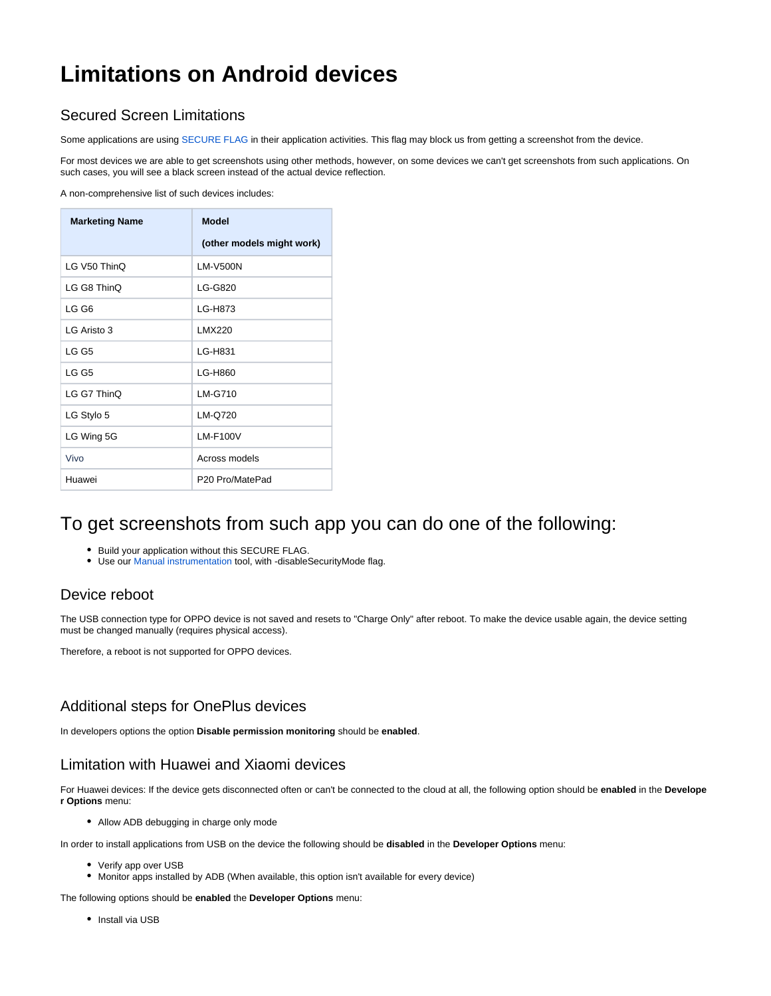# **Limitations on Android devices**

### Secured Screen Limitations

Some applications are using [SECURE FLAG](https://developer.android.com/reference/android/view/WindowManager.LayoutParams#FLAG_SECURE) in their application activities. This flag may block us from getting a screenshot from the device.

For most devices we are able to get screenshots using other methods, however, on some devices we can't get screenshots from such applications. On such cases, you will see a black screen instead of the actual device reflection.

A non-comprehensive list of such devices includes:

| <b>Marketing Name</b> | <b>Model</b>                |
|-----------------------|-----------------------------|
|                       | (other models might work)   |
| LG V50 ThinQ          | <b>LM-V500N</b>             |
| LG G8 ThinQ           | LG-G820                     |
| LG G6                 | LG-H873                     |
| LG Aristo 3           | LMX220                      |
| LG G5                 | LG-H831                     |
| LG G5                 | LG-H860                     |
| LG G7 ThinQ           | LM-G710                     |
| LG Stylo 5            | LM-Q720                     |
| LG Wing 5G            | <b>LM-F100V</b>             |
| Vivo                  | Across models               |
| Huawei                | P <sub>20</sub> Pro/MatePad |

# To get screenshots from such app you can do one of the following:

- Build your application without this SECURE FLAG.
- Use our [Manual instrumentation](https://docs.experitest.com/pages/viewpage.action?pageId=21985370) tool, with -disableSecurityMode flag.

#### Device reboot

The USB connection type for OPPO device is not saved and resets to "Charge Only" after reboot. To make the device usable again, the device setting must be changed manually (requires physical access).

Therefore, a reboot is not supported for OPPO devices.

#### Additional steps for OnePlus devices

In developers options the option **Disable permission monitoring** should be **enabled**.

#### Limitation with Huawei and Xiaomi devices

For Huawei devices: If the device gets disconnected often or can't be connected to the cloud at all, the following option should be **enabled** in the **Develope r Options** menu:

Allow ADB debugging in charge only mode

In order to install applications from USB on the device the following should be **disabled** in the **Developer Options** menu:

- Verify app over USB
- Monitor apps installed by ADB (When available, this option isn't available for every device)

The following options should be **enabled** the **Developer Options** menu:

• Install via USB